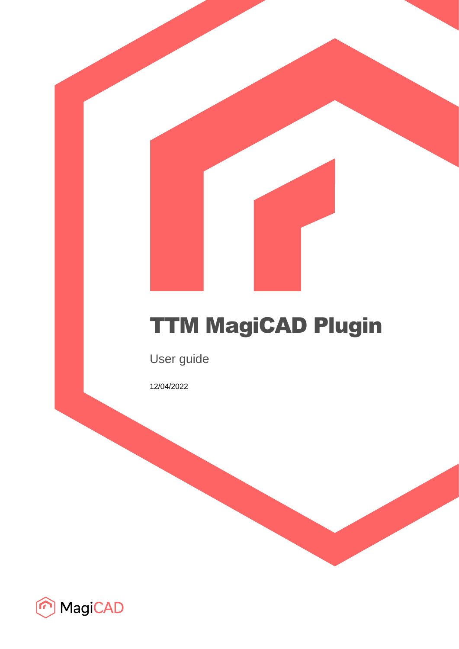# TTM MagiCAD Plugin

User guide

12/04/2022

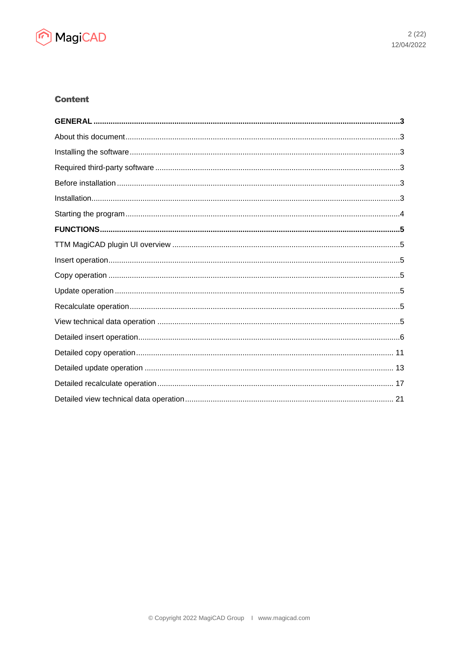

# **Content**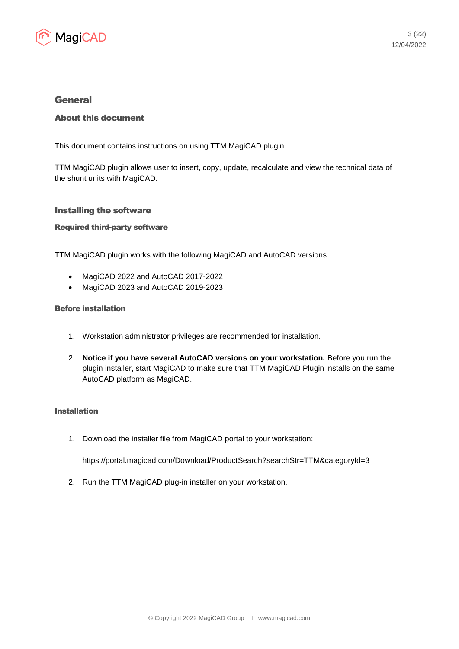

## General

## About this document

This document contains instructions on using TTM MagiCAD plugin.

TTM MagiCAD plugin allows user to insert, copy, update, recalculate and view the technical data of the shunt units with MagiCAD.

#### Installing the software

#### Required third-party software

TTM MagiCAD plugin works with the following MagiCAD and AutoCAD versions

- MagiCAD 2022 and AutoCAD 2017-2022
- MagiCAD 2023 and AutoCAD 2019-2023

#### Before installation

- 1. Workstation administrator privileges are recommended for installation.
- 2. **Notice if you have several AutoCAD versions on your workstation.** Before you run the plugin installer, start MagiCAD to make sure that TTM MagiCAD Plugin installs on the same AutoCAD platform as MagiCAD.

#### Installation

1. Download the installer file from MagiCAD portal to your workstation:

https://portal.magicad.com/Download/ProductSearch?searchStr=TTM&categoryId=3

2. Run the TTM MagiCAD plug-in installer on your workstation.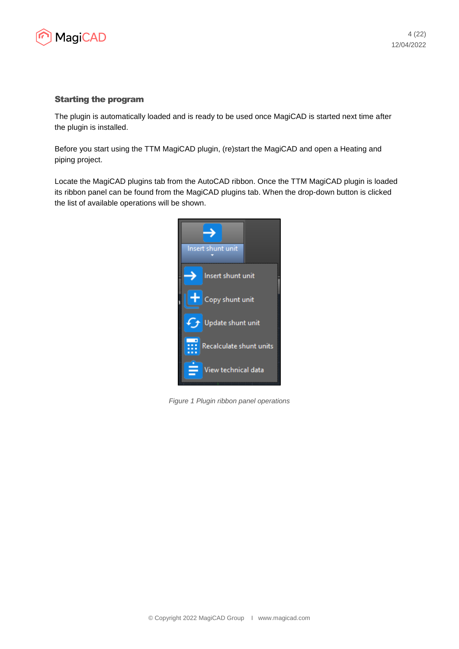

#### Starting the program

The plugin is automatically loaded and is ready to be used once MagiCAD is started next time after the plugin is installed.

Before you start using the TTM MagiCAD plugin, (re)start the MagiCAD and open a Heating and piping project.

Locate the MagiCAD plugins tab from the AutoCAD ribbon. Once the TTM MagiCAD plugin is loaded its ribbon panel can be found from the MagiCAD plugins tab. When the drop-down button is clicked the list of available operations will be shown.



*Figure 1 Plugin ribbon panel operations*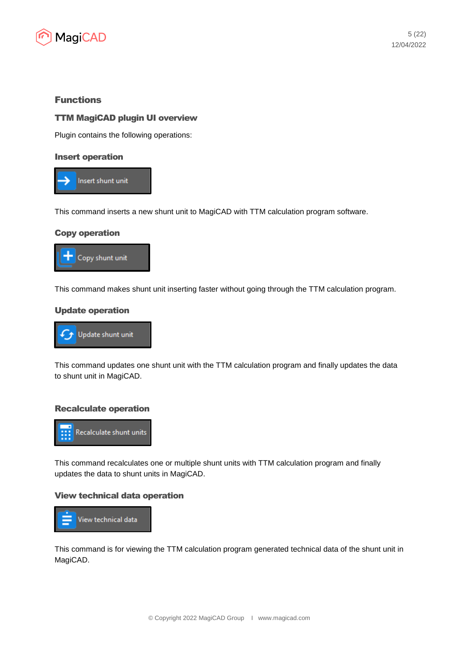

# Functions

## TTM MagiCAD plugin UI overview

Plugin contains the following operations:

#### Insert operation



This command inserts a new shunt unit to MagiCAD with TTM calculation program software.

#### Copy operation



This command makes shunt unit inserting faster without going through the TTM calculation program.

#### Update operation



This command updates one shunt unit with the TTM calculation program and finally updates the data to shunt unit in MagiCAD.

#### Recalculate operation



This command recalculates one or multiple shunt units with TTM calculation program and finally updates the data to shunt units in MagiCAD.

#### View technical data operation



This command is for viewing the TTM calculation program generated technical data of the shunt unit in MagiCAD.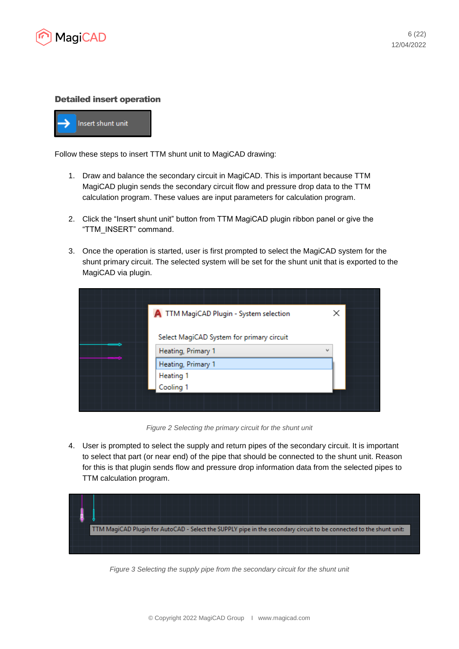

#### Detailed insert operation



Follow these steps to insert TTM shunt unit to MagiCAD drawing:

- 1. Draw and balance the secondary circuit in MagiCAD. This is important because TTM MagiCAD plugin sends the secondary circuit flow and pressure drop data to the TTM calculation program. These values are input parameters for calculation program.
- 2. Click the "Insert shunt unit" button from TTM MagiCAD plugin ribbon panel or give the "TTM\_INSERT" command.
- 3. Once the operation is started, user is first prompted to select the MagiCAD system for the shunt primary circuit. The selected system will be set for the shunt unit that is exported to the MagiCAD via plugin.

| A TTM MagiCAD Plugin - System selection   | ×                        |
|-------------------------------------------|--------------------------|
| Select MagiCAD System for primary circuit |                          |
| Heating, Primary 1                        | $\overline{\phantom{a}}$ |
| Heating, Primary 1                        |                          |
| Heating 1                                 |                          |
| Cooling 1                                 |                          |
|                                           |                          |
|                                           |                          |

*Figure 2 Selecting the primary circuit for the shunt unit*

4. User is prompted to select the supply and return pipes of the secondary circuit. It is important to select that part (or near end) of the pipe that should be connected to the shunt unit. Reason for this is that plugin sends flow and pressure drop information data from the selected pipes to TTM calculation program.



*Figure 3 Selecting the supply pipe from the secondary circuit for the shunt unit*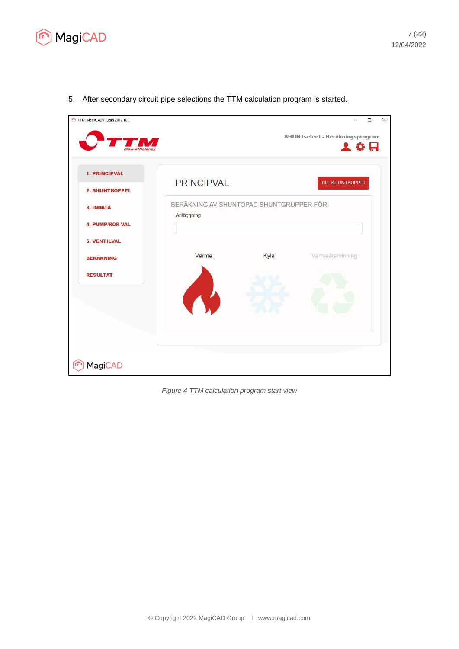

- TTM MagiCAD Plugin 2017.10.1  $\Box$  $\times$ **SHUNTselect - Beräkningsprogram** TM てな出 1. PRINCIPVAL **PRINCIPVAL TILL SHUNTKOPPEL** 2. SHUNTKOPPEL BERÄKNING AV SHUNTOPAC SHUNTGRUPPER FÖR 3. INDATA Anläggning 4. PUMP/RÖR VAL 5. VENTILVAL Värme Kyla Värmeåtervinning **BERÄKNING RESULTAT** MagiCAD
- 5. After secondary circuit pipe selections the TTM calculation program is started.

*Figure 4 TTM calculation program start view*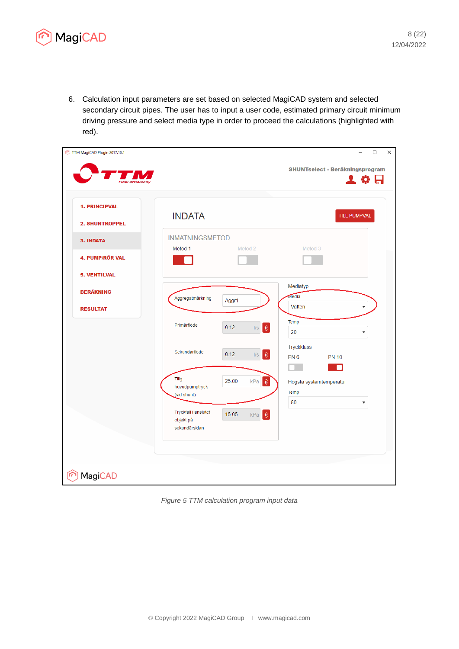

6. Calculation input parameters are set based on selected MagiCAD system and selected secondary circuit pipes. The user has to input a user code, estimated primary circuit minimum driving pressure and select media type in order to proceed the calculations (highlighted with red).



*Figure 5 TTM calculation program input data*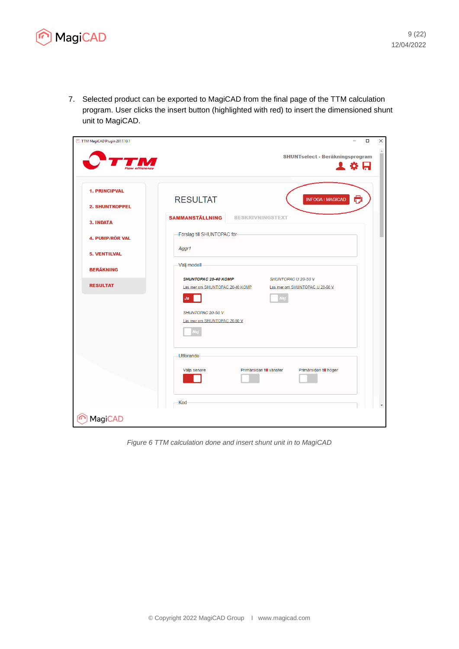

7. Selected product can be exported to MagiCAD from the final page of the TTM calculation program. User clicks the insert button (highlighted with red) to insert the dimensioned shunt unit to MagiCAD.



*Figure 6 TTM calculation done and insert shunt unit in to MagiCAD*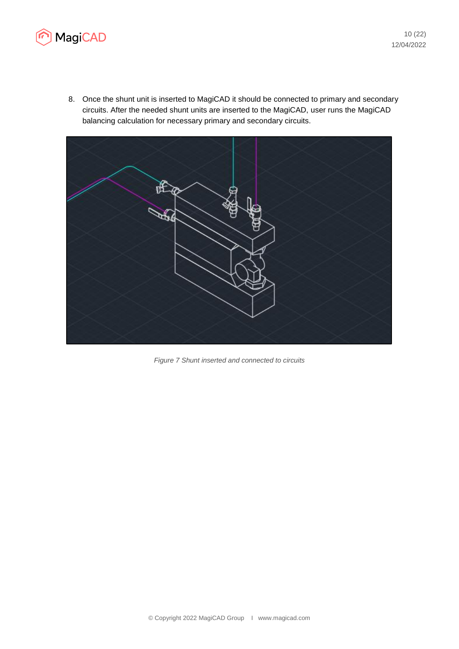

8. Once the shunt unit is inserted to MagiCAD it should be connected to primary and secondary circuits. After the needed shunt units are inserted to the MagiCAD, user runs the MagiCAD balancing calculation for necessary primary and secondary circuits.



*Figure 7 Shunt inserted and connected to circuits*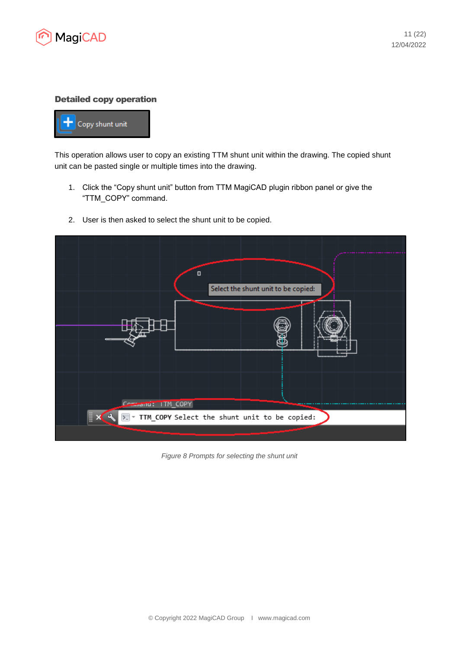

#### Detailed copy operation



This operation allows user to copy an existing TTM shunt unit within the drawing. The copied shunt unit can be pasted single or multiple times into the drawing.

1. Click the "Copy shunt unit" button from TTM MagiCAD plugin ribbon panel or give the "TTM\_COPY" command.



2. User is then asked to select the shunt unit to be copied.

*Figure 8 Prompts for selecting the shunt unit*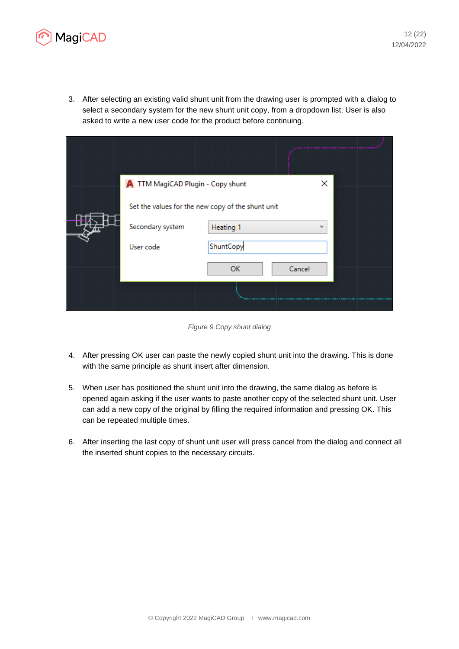

3. After selecting an existing valid shunt unit from the drawing user is prompted with a dialog to select a secondary system for the new shunt unit copy, from a dropdown list. User is also asked to write a new user code for the product before continuing.

| A TTM MagiCAD Plugin - Copy shunt                 |           | ×          |  |
|---------------------------------------------------|-----------|------------|--|
| Set the values for the new copy of the shunt unit |           |            |  |
| Secondary system                                  | Heating 1 | $\check{}$ |  |
| User code                                         | ShuntCopy |            |  |
|                                                   | <b>OK</b> | Cancel     |  |
|                                                   |           |            |  |
|                                                   |           |            |  |

*Figure 9 Copy shunt dialog*

- 4. After pressing OK user can paste the newly copied shunt unit into the drawing. This is done with the same principle as shunt insert after dimension.
- 5. When user has positioned the shunt unit into the drawing, the same dialog as before is opened again asking if the user wants to paste another copy of the selected shunt unit. User can add a new copy of the original by filling the required information and pressing OK. This can be repeated multiple times.
- 6. After inserting the last copy of shunt unit user will press cancel from the dialog and connect all the inserted shunt copies to the necessary circuits.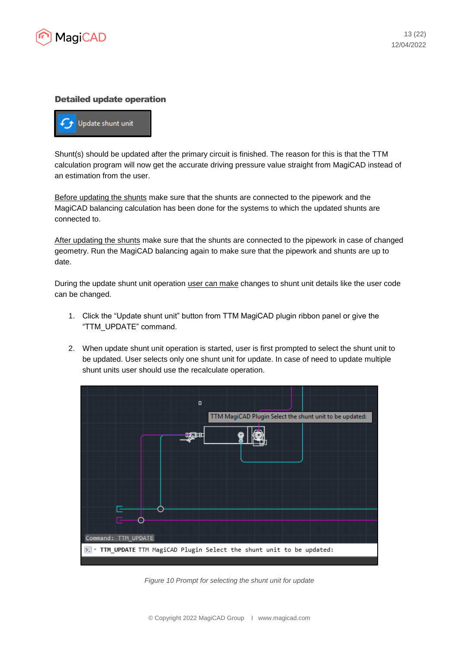

#### Detailed update operation



Shunt(s) should be updated after the primary circuit is finished. The reason for this is that the TTM calculation program will now get the accurate driving pressure value straight from MagiCAD instead of an estimation from the user.

Before updating the shunts make sure that the shunts are connected to the pipework and the MagiCAD balancing calculation has been done for the systems to which the updated shunts are connected to.

After updating the shunts make sure that the shunts are connected to the pipework in case of changed geometry. Run the MagiCAD balancing again to make sure that the pipework and shunts are up to date.

During the update shunt unit operation user can make changes to shunt unit details like the user code can be changed.

- 1. Click the "Update shunt unit" button from TTM MagiCAD plugin ribbon panel or give the "TTM\_UPDATE" command.
- 2. When update shunt unit operation is started, user is first prompted to select the shunt unit to be updated. User selects only one shunt unit for update. In case of need to update multiple shunt units user should use the recalculate operation.



*Figure 10 Prompt for selecting the shunt unit for update*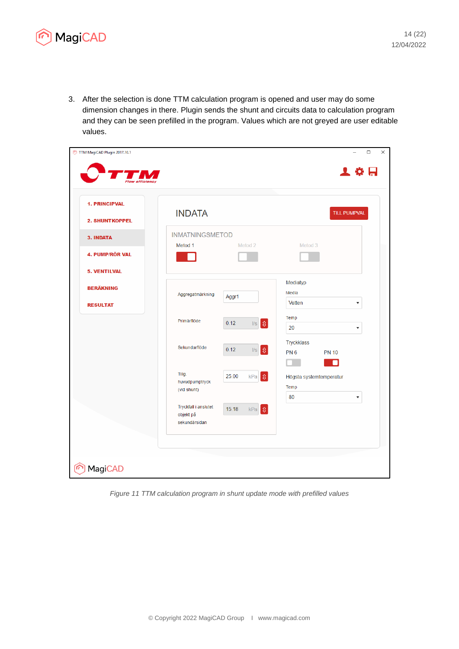

3. After the selection is done TTM calculation program is opened and user may do some dimension changes in there. Plugin sends the shunt and circuits data to calculation program and they can be seen prefilled in the program. Values which are not greyed are user editable values.

| TTM MagiCAD Plugin 2017.10.1<br>efficiency    |                                                    |                                                                                                         | $\Box$<br>上卷日                                 |
|-----------------------------------------------|----------------------------------------------------|---------------------------------------------------------------------------------------------------------|-----------------------------------------------|
| <b>1. PRINCIPVAL</b><br><b>2. SHUNTKOPPEL</b> | <b>INDATA</b>                                      |                                                                                                         | <b>TILL PUMPVAL</b>                           |
| 3. INDATA                                     | <b>INMATNINGSMETOD</b><br>Metod 1                  | Metod <sub>2</sub>                                                                                      | Metod 3                                       |
| 4. PUMP/RÖR VAL                               |                                                    |                                                                                                         |                                               |
| <b>5. VENTILVAL</b>                           |                                                    |                                                                                                         | Mediatyp                                      |
| <b>BERÄKNING</b>                              | Aggregatmärkning                                   | Aggr1                                                                                                   | Media                                         |
| <b>RESULTAT</b>                               |                                                    |                                                                                                         | Vatten<br>$\overline{\mathbf{v}}$<br>Temp     |
|                                               | Primärflöde                                        | $\  \mathbf{r} \ _2$<br>0.12                                                                            | 20<br>$\blacktriangledown$                    |
|                                               | Sekundarflöde                                      | $ \mathbf{\hat{y}} $<br>0.12<br>$\ensuremath{\mathsf{I}}\ensuremath{\mathsf{I}}\ensuremath{\mathsf{S}}$ | Tryckklass<br>PN <sub>6</sub><br><b>PN 10</b> |
|                                               |                                                    |                                                                                                         | n                                             |
|                                               | Tillg.<br>huvudpumptryck                           | 25.00<br>$\mathfrak{v}$<br>kPa                                                                          | Högsta systemtemperatur<br>Temp               |
|                                               | (vid shunt)                                        |                                                                                                         | 80<br>$\overline{\mathbf{v}}$                 |
|                                               | Tryckfall i anslutet<br>objekt på<br>sekundärsidan | 15.18<br>$\mathfrak{v}$<br>kPa                                                                          |                                               |
|                                               |                                                    |                                                                                                         |                                               |
| MagiCAD                                       |                                                    |                                                                                                         |                                               |

*Figure 11 TTM calculation program in shunt update mode with prefilled values*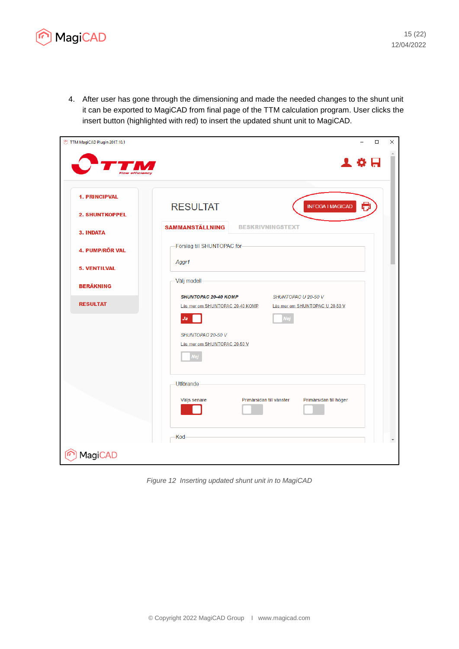

4. After user has gone through the dimensioning and made the needed changes to the shunt unit it can be exported to MagiCAD from final page of the TTM calculation program. User clicks the insert button (highlighted with red) to insert the updated shunt unit to MagiCAD.



*Figure 12 Inserting updated shunt unit in to MagiCAD*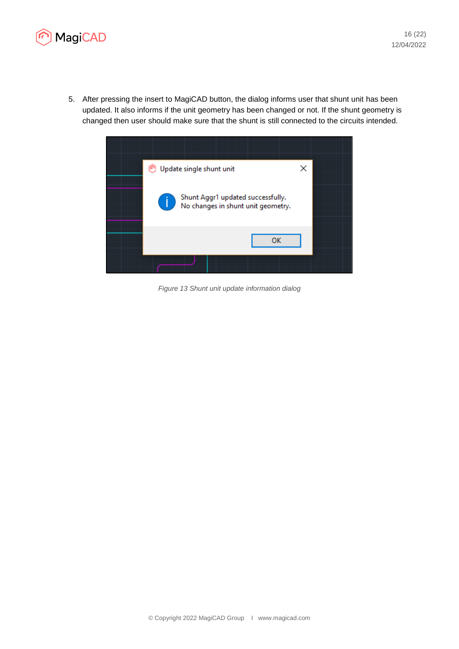

5. After pressing the insert to MagiCAD button, the dialog informs user that shunt unit has been updated. It also informs if the unit geometry has been changed or not. If the shunt geometry is changed then user should make sure that the shunt is still connected to the circuits intended.



*Figure 13 Shunt unit update information dialog*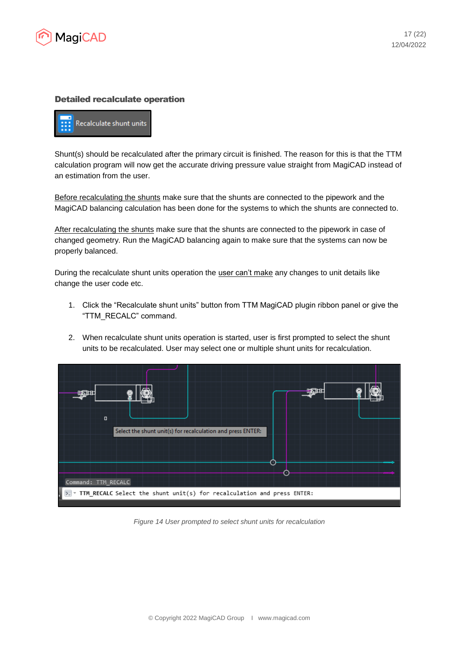

### Detailed recalculate operation



Shunt(s) should be recalculated after the primary circuit is finished. The reason for this is that the TTM calculation program will now get the accurate driving pressure value straight from MagiCAD instead of an estimation from the user.

Before recalculating the shunts make sure that the shunts are connected to the pipework and the MagiCAD balancing calculation has been done for the systems to which the shunts are connected to.

After recalculating the shunts make sure that the shunts are connected to the pipework in case of changed geometry. Run the MagiCAD balancing again to make sure that the systems can now be properly balanced.

During the recalculate shunt units operation the user can't make any changes to unit details like change the user code etc.

- 1. Click the "Recalculate shunt units" button from TTM MagiCAD plugin ribbon panel or give the "TTM\_RECALC" command.
- 2. When recalculate shunt units operation is started, user is first prompted to select the shunt units to be recalculated. User may select one or multiple shunt units for recalculation.

|        | $\Box$<br>Select the shunt unit(s) for recalculation and press ENTER:<br>$\lceil \cdot \rceil$<br><b>STAR</b><br>Command: TTM_RECALC<br>TTM_RECALC Select the shunt unit(s) for recalculation and press ENTER: |  |  |
|--------|----------------------------------------------------------------------------------------------------------------------------------------------------------------------------------------------------------------|--|--|
|        |                                                                                                                                                                                                                |  |  |
|        |                                                                                                                                                                                                                |  |  |
|        |                                                                                                                                                                                                                |  |  |
| $\geq$ |                                                                                                                                                                                                                |  |  |

*Figure 14 User prompted to select shunt units for recalculation*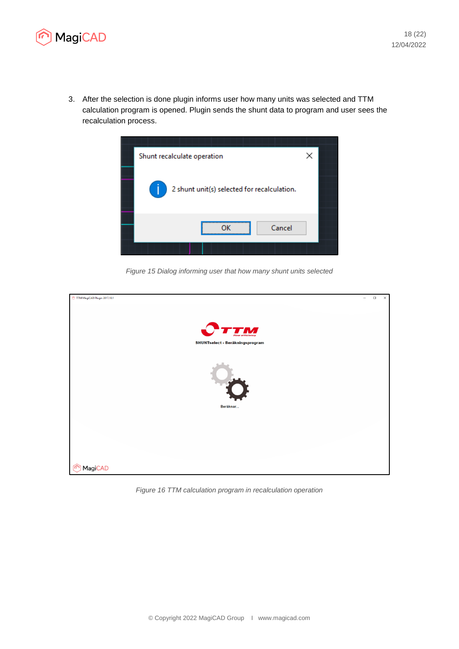

3. After the selection is done plugin informs user how many units was selected and TTM calculation program is opened. Plugin sends the shunt data to program and user sees the recalculation process.



*Figure 15 Dialog informing user that how many shunt units selected*



*Figure 16 TTM calculation program in recalculation operation*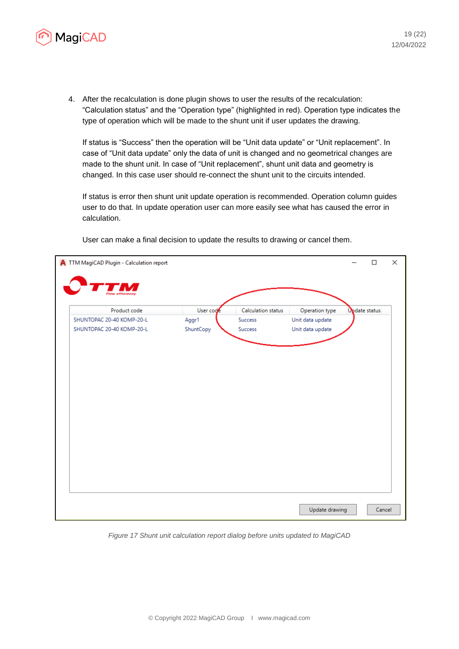

4. After the recalculation is done plugin shows to user the results of the recalculation: "Calculation status" and the "Operation type" (highlighted in red). Operation type indicates the type of operation which will be made to the shunt unit if user updates the drawing.

If status is "Success" then the operation will be "Unit data update" or "Unit replacement". In case of "Unit data update" only the data of unit is changed and no geometrical changes are made to the shunt unit. In case of "Unit replacement", shunt unit data and geometry is changed. In this case user should re-connect the shunt unit to the circuits intended.

If status is error then shunt unit update operation is recommended. Operation column guides user to do that. In update operation user can more easily see what has caused the error in calculation.

| A TTM MagiCAD Plugin - Calculation report |           |                    |                  |               | $\Box$ | × |
|-------------------------------------------|-----------|--------------------|------------------|---------------|--------|---|
|                                           |           |                    |                  |               |        |   |
|                                           |           |                    |                  |               |        |   |
| Product code                              | User code | Calculation status | Operation type   | Opdate status |        |   |
| SHUNTOPAC 20-40 KOMP-20-L                 | Aggr1     | Success            | Unit data update |               |        |   |
| SHUNTOPAC 20-40 KOMP-20-L                 | ShuntCopy | Success            | Unit data update |               |        |   |
|                                           |           |                    |                  |               |        |   |
|                                           |           |                    |                  |               |        |   |
|                                           |           |                    |                  |               |        |   |
|                                           |           |                    |                  |               |        |   |
|                                           |           |                    |                  |               |        |   |
|                                           |           |                    |                  |               |        |   |
|                                           |           |                    |                  |               |        |   |
|                                           |           |                    |                  |               |        |   |
|                                           |           |                    |                  |               |        |   |
|                                           |           |                    |                  |               |        |   |
|                                           |           |                    |                  |               |        |   |
|                                           |           |                    |                  |               |        |   |
|                                           |           |                    |                  |               |        |   |
|                                           |           |                    |                  |               |        |   |
|                                           |           |                    |                  |               |        |   |
|                                           |           |                    |                  |               |        |   |
|                                           |           |                    |                  |               |        |   |
|                                           |           |                    |                  |               |        |   |
|                                           |           |                    | Update drawing   |               | Cancel |   |
|                                           |           |                    |                  |               |        |   |

User can make a final decision to update the results to drawing or cancel them.

*Figure 17 Shunt unit calculation report dialog before units updated to MagiCAD*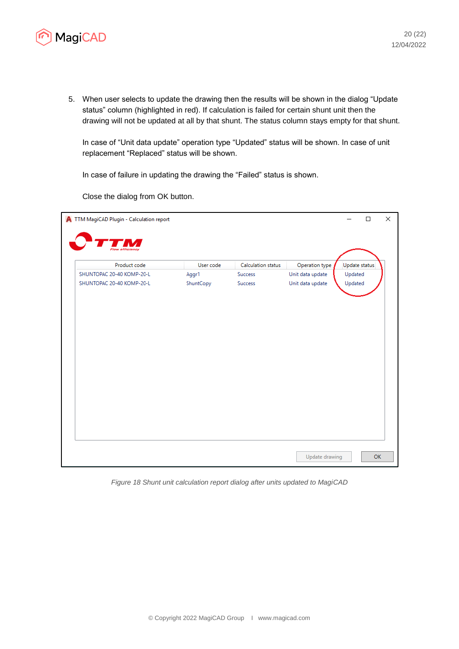

5. When user selects to update the drawing then the results will be shown in the dialog "Update status" column (highlighted in red). If calculation is failed for certain shunt unit then the drawing will not be updated at all by that shunt. The status column stays empty for that shunt.

In case of "Unit data update" operation type "Updated" status will be shown. In case of unit replacement "Replaced" status will be shown.

In case of failure in updating the drawing the "Failed" status is shown.

Close the dialog from OK button.

| A TTM MagiCAD Plugin - Calculation report |           |                    |                  |               | $\Box$    | × |
|-------------------------------------------|-----------|--------------------|------------------|---------------|-----------|---|
|                                           |           |                    |                  |               |           |   |
| Product code                              | User code | Calculation status | Operation type   | Update status |           |   |
| SHUNTOPAC 20-40 KOMP-20-L                 | Aggr1     | Success            | Unit data update | Updated       |           |   |
| SHUNTOPAC 20-40 KOMP-20-L                 | ShuntCopy | <b>Success</b>     | Unit data update | Updated       |           |   |
|                                           |           |                    |                  |               |           |   |
|                                           |           |                    |                  |               |           |   |
|                                           |           |                    |                  |               |           |   |
|                                           |           |                    |                  |               |           |   |
|                                           |           |                    |                  |               |           |   |
|                                           |           |                    |                  |               |           |   |
|                                           |           |                    |                  |               |           |   |
|                                           |           |                    |                  |               |           |   |
|                                           |           |                    |                  |               |           |   |
|                                           |           |                    |                  |               |           |   |
|                                           |           |                    |                  |               |           |   |
|                                           |           |                    |                  |               |           |   |
|                                           |           |                    |                  |               | <b>OK</b> |   |
|                                           |           |                    | Update drawing   |               |           |   |

*Figure 18 Shunt unit calculation report dialog after units updated to MagiCAD*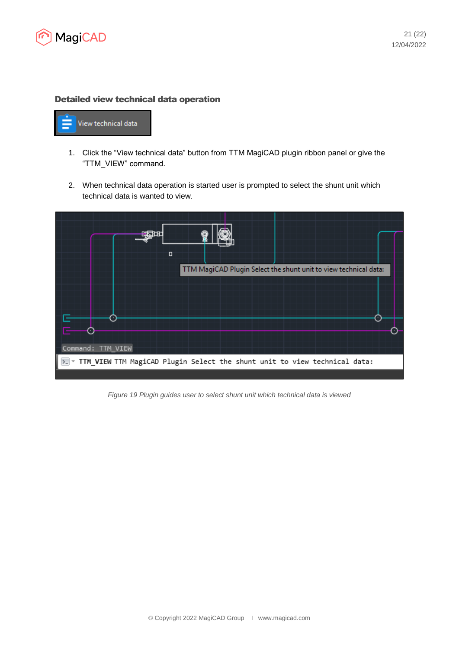

#### Detailed view technical data operation



- 1. Click the "View technical data" button from TTM MagiCAD plugin ribbon panel or give the "TTM\_VIEW" command.
- 2. When technical data operation is started user is prompted to select the shunt unit which technical data is wanted to view.



*Figure 19 Plugin guides user to select shunt unit which technical data is viewed*